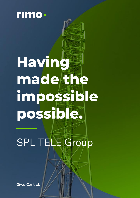

# **Having made the impossible possible.**

SPL TELE Group

**Gives Control.**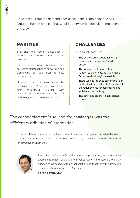Special requirements demand special solutions: Rimo helps the SPL TELE Group to handle projects that would otherwise be difficult to implement in this way.

## **PARTNER**

SPL TELE is the Austrian market leader in services for mobile communications providers.

These range from preventive and corrective maintenance to conversion and dismantling of radio sites to new construction.

However, even for a market leader, the consolidation of 2 networks (over 8,600 sites throughout Austria) with simultaneous modernization to LTE technology was not an everyday task.

## **CHALLENGES**

Special challenges here:

- The desired project duration of 18 months without a project start-up phase.
- The long product delivery times in relation to the project duration made "site-based delivery" impossible.
- There was no logistics service provider on the Austrian market that could meet the requirements for assembling and serial number tracking.
- The strict and extensive acceptance criteria.

# *The central element in solving the challenges was the efficient distribution of information.*

Rimo, which is structured as an online and real-time system throughout, provided the ideal starting point for this. In addition, the software was already in use within the SPL TELE Group for corrective maintenance.



*Rimo gives us better information about the project progress and enables optimal information exchange with our customers and partners, which, in addition to increased customer satisfaction and together with automation, directly leads to savings and efficiency.* **Florian Schütz, CEO**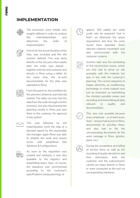

The processes were initially only roughly defined in order to analyze the interrelationships and determine the order of implementation.



First of all, the actual situation of the sites was recorded and the site solution defined. This was done directly at the site just a few weeks after the order was placed together with the end customer and directly in Rimo using a tablet. At the same time, the as-built documentation for the sites was uploaded to Rimo.



From this point on, the workflow for the planners (external and internal) started. The latter not only had the data from the walk-through and the inventory, but also documented the planning results in Rimo and sent them to the customer for approval in the system.



This was followed by the materialization (with the help of a demand report) by the responsible site manager, again Rimo was able to simplify the work and reduce errors with predefined Site Solutions & Configurations.



As soon as the requisition was created and released, it was also available to the logistics and assembling team. Here, of course, the sequence was synchronized according to the customer's specifications (swap planning), at



approx. 300 pallets per week could only be prepared "just in time", as otherwise the space requirement and thus the costs would have exploded. Every relevant material movement was also synchronized with the customer systems.



Another task was the scheduling of the construction crews, which not only had to arrive on site promptly with the material, but also in line with the customer's planning. The correct sequence of trades, electricity, air conditioning, technology or crane support was just as important as maintaining the shortest possible routes and recording and transmitting all data relevant to quality and documentation.



This was only possible because every employee - or at least every team - always had access to Rimo, documented all activities there, and also had to file the corresponding documents for the work package in Rimo (photos, plans, etc.).



During the acceptance and billing of service items as well as the recording of quality deviations and their elimination, both the customer and the subcontractor carried out steps directly in Rimo or were connected to the tool via corresponding interfaces.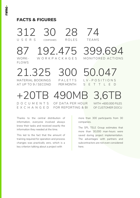## **FACTS & FIGURES**

312 30 28 74<br>USERS COMPANIES ROLES TEAMS U S E R S COMPANIES

FLOWS

87 192.475 399.694<br>WORK- WORKPACKAGES MONITORED ACTIONS W O R K P A C K A G E S

21.325 300 50.047 L V - P O S I T I O N S AT UP TO 9 / SECOND PER MONTH S E T T L E D

+20TB 490MB 3,6T

. D O C U M E N T S OF DATA PER HOUR WITH +600.000 FILES E X C H A N G E D FOR REPORTING & BI OF CUSTOMER DOCU

Thanks to the central distribution of information, everyone involved always knew their tasks and received exactly the information they needed at the time.

This led to the fact that the amount of training required for operation and process changes was practically zero, which is a key criterion talking about a project with

more than 300 participants from 30 companies.

The SPL TELE Group estimates that more than 30,000 man-hours were saved during project implementation. The advantages with partners and subcontractors are not even considered here.